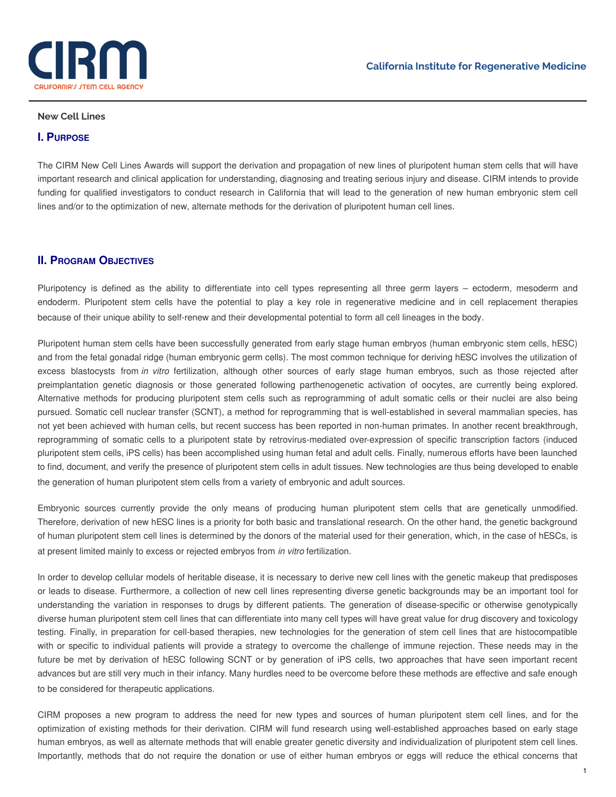

#### **New Cell Lines**

### **I. PURPOSE**

The CIRM New Cell Lines Awards will support the derivation and propagation of new lines of pluripotent human stem cells that will have important research and clinical application for understanding, diagnosing and treating serious injury and disease. CIRM intends to provide funding for qualified investigators to conduct research in California that will lead to the generation of new human embryonic stem cell lines and/or to the optimization of new, alternate methods for the derivation of pluripotent human cell lines.

### **II. PROGRAM OBJECTIVES**

Pluripotency is defined as the ability to differentiate into cell types representing all three germ layers – ectoderm, mesoderm and endoderm. Pluripotent stem cells have the potential to play a key role in regenerative medicine and in cell replacement therapies because of their unique ability to self-renew and their developmental potential to form all cell lineages in the body.

Pluripotent human stem cells have been successfully generated from early stage human embryos (human embryonic stem cells, hESC) and from the fetal gonadal ridge (human embryonic germ cells). The most common technique for deriving hESC involves the utilization of excess blastocysts from *in vitro* fertilization, although other sources of early stage human embryos, such as those rejected after preimplantation genetic diagnosis or those generated following parthenogenetic activation of oocytes, are currently being explored. Alternative methods for producing pluripotent stem cells such as reprogramming of adult somatic cells or their nuclei are also being pursued. Somatic cell nuclear transfer (SCNT), a method for reprogramming that is well-established in several mammalian species, has not yet been achieved with human cells, but recent success has been reported in non-human primates. In another recent breakthrough, reprogramming of somatic cells to a pluripotent state by retrovirus-mediated over-expression of specific transcription factors (induced pluripotent stem cells, iPS cells) has been accomplished using human fetal and adult cells. Finally, numerous efforts have been launched to find, document, and verify the presence of pluripotent stem cells in adult tissues. New technologies are thus being developed to enable the generation of human pluripotent stem cells from a variety of embryonic and adult sources.

Embryonic sources currently provide the only means of producing human pluripotent stem cells that are genetically unmodified. Therefore, derivation of new hESC lines is a priority for both basic and translational research. On the other hand, the genetic background of human pluripotent stem cell lines is determined by the donors of the material used for their generation, which, in the case of hESCs, is at present limited mainly to excess or rejected embryos from *in vitro* fertilization.

In order to develop cellular models of heritable disease, it is necessary to derive new cell lines with the genetic makeup that predisposes or leads to disease. Furthermore, a collection of new cell lines representing diverse genetic backgrounds may be an important tool for understanding the variation in responses to drugs by different patients. The generation of disease-specific or otherwise genotypically diverse human pluripotent stem cell lines that can differentiate into many cell types will have great value for drug discovery and toxicology testing. Finally, in preparation for cell-based therapies, new technologies for the generation of stem cell lines that are histocompatible with or specific to individual patients will provide a strategy to overcome the challenge of immune rejection. These needs may in the future be met by derivation of hESC following SCNT or by generation of iPS cells, two approaches that have seen important recent advances but are still very much in their infancy. Many hurdles need to be overcome before these methods are effective and safe enough to be considered for therapeutic applications.

CIRM proposes a new program to address the need for new types and sources of human pluripotent stem cell lines, and for the optimization of existing methods for their derivation. CIRM will fund research using well-established approaches based on early stage human embryos, as well as alternate methods that will enable greater genetic diversity and individualization of pluripotent stem cell lines. Importantly, methods that do not require the donation or use of either human embryos or eggs will reduce the ethical concerns that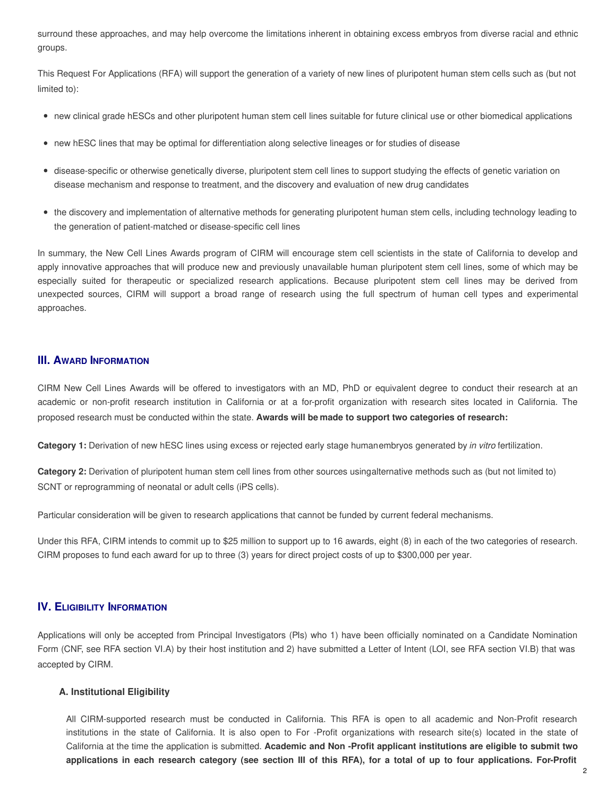surround these approaches, and may help overcome the limitations inherent in obtaining excess embryos from diverse racial and ethnic groups.

This Request For Applications (RFA) will support the generation of a variety of new lines of pluripotent human stem cells such as (but not limited to):

- new clinical grade hESCs and other pluripotent human stem cell lines suitable for future clinical use or other biomedical applications
- new hESC lines that may be optimal for differentiation along selective lineages or for studies of disease
- disease-specific or otherwise genetically diverse, pluripotent stem cell lines to support studying the effects of genetic variation on disease mechanism and response to treatment, and the discovery and evaluation of new drug candidates
- the discovery and implementation of alternative methods for generating pluripotent human stem cells, including technology leading to the generation of patient-matched or disease-specific cell lines

In summary, the New Cell Lines Awards program of CIRM will encourage stem cell scientists in the state of California to develop and apply innovative approaches that will produce new and previously unavailable human pluripotent stem cell lines, some of which may be especially suited for therapeutic or specialized research applications. Because pluripotent stem cell lines may be derived from unexpected sources, CIRM will support a broad range of research using the full spectrum of human cell types and experimental approaches.

# **III. AWARD INFORMATION**

CIRM New Cell Lines Awards will be offered to investigators with an MD, PhD or equivalent degree to conduct their research at an academic or non-profit research institution in California or at a for-profit organization with research sites located in California. The proposed research must be conducted within the state. **Awards will be made to support two categories of research:**

**Category 1:** Derivation of new hESC lines using excess or rejected early stage humanembryos generated by *in vitro* fertilization.

**Category 2:** Derivation of pluripotent human stem cell lines from other sources usingalternative methods such as (but not limited to) SCNT or reprogramming of neonatal or adult cells (iPS cells).

Particular consideration will be given to research applications that cannot be funded by current federal mechanisms.

Under this RFA, CIRM intends to commit up to \$25 million to support up to 16 awards, eight (8) in each of the two categories of research. CIRM proposes to fund each award for up to three (3) years for direct project costs of up to \$300,000 per year.

# **IV. ELIGIBILITY INFORMATION**

Applications will only be accepted from Principal Investigators (PIs) who 1) have been officially nominated on a Candidate Nomination Form (CNF, see RFA section VI.A) by their host institution and 2) have submitted a Letter of Intent (LOI, see RFA section VI.B) that was accepted by CIRM.

### **A. Institutional Eligibility**

All CIRM-supported research must be conducted in California. This RFA is open to all academic and Non-Profit research institutions in the state of California. It is also open to For -Profit organizations with research site(s) located in the state of California at the time the application is submitted. **Academic and Non -Profit applicant institutions are eligible to submit two** applications in each research category (see section III of this RFA), for a total of up to four applications. For-Profit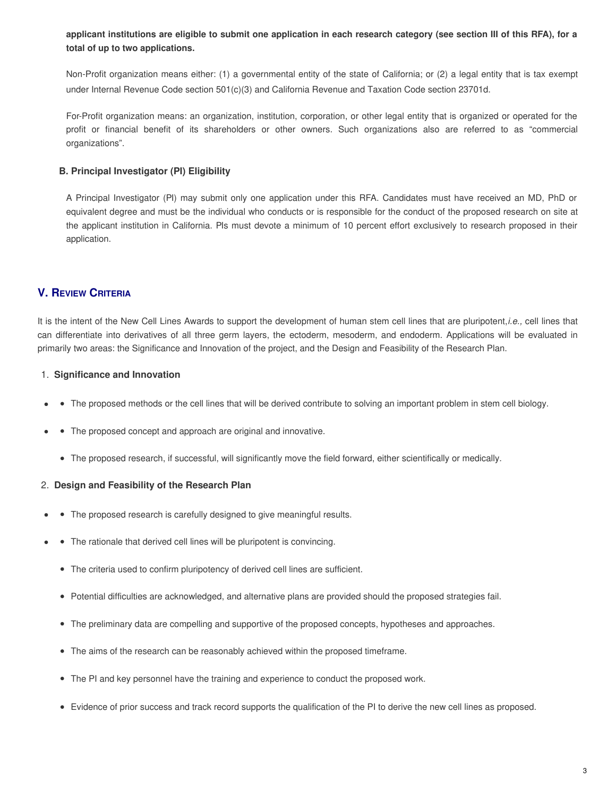applicant institutions are eligible to submit one application in each research category (see section III of this RFA), for a **total of up to two applications.**

Non-Profit organization means either: (1) a governmental entity of the state of California; or (2) a legal entity that is tax exempt under Internal Revenue Code section 501(c)(3) and California Revenue and Taxation Code section 23701d.

For-Profit organization means: an organization, institution, corporation, or other legal entity that is organized or operated for the profit or financial benefit of its shareholders or other owners. Such organizations also are referred to as "commercial organizations".

### **B. Principal Investigator (PI) Eligibility**

A Principal Investigator (PI) may submit only one application under this RFA. Candidates must have received an MD, PhD or equivalent degree and must be the individual who conducts or is responsible for the conduct of the proposed research on site at the applicant institution in California. PIs must devote a minimum of 10 percent effort exclusively to research proposed in their application.

# **V. REVIEW CRITERIA**

It is the intent of the New Cell Lines Awards to support the development of human stem cell lines that are pluripotent,*i.e.,* cell lines that can differentiate into derivatives of all three germ layers, the ectoderm, mesoderm, and endoderm. Applications will be evaluated in primarily two areas: the Significance and Innovation of the project, and the Design and Feasibility of the Research Plan.

### 1. **Significance and Innovation**

- The proposed methods or the cell lines that will be derived contribute to solving an important problem in stem cell biology.
- The proposed concept and approach are original and innovative.
	- The proposed research, if successful, will significantly move the field forward, either scientifically or medically.

#### 2. **Design and Feasibility of the Research Plan**

- The proposed research is carefully designed to give meaningful results.
- The rationale that derived cell lines will be pluripotent is convincing.
	- The criteria used to confirm pluripotency of derived cell lines are sufficient.
	- Potential difficulties are acknowledged, and alternative plans are provided should the proposed strategies fail.
	- The preliminary data are compelling and supportive of the proposed concepts, hypotheses and approaches.
	- The aims of the research can be reasonably achieved within the proposed timeframe.
	- The PI and key personnel have the training and experience to conduct the proposed work.
	- Evidence of prior success and track record supports the qualification of the PI to derive the new cell lines as proposed.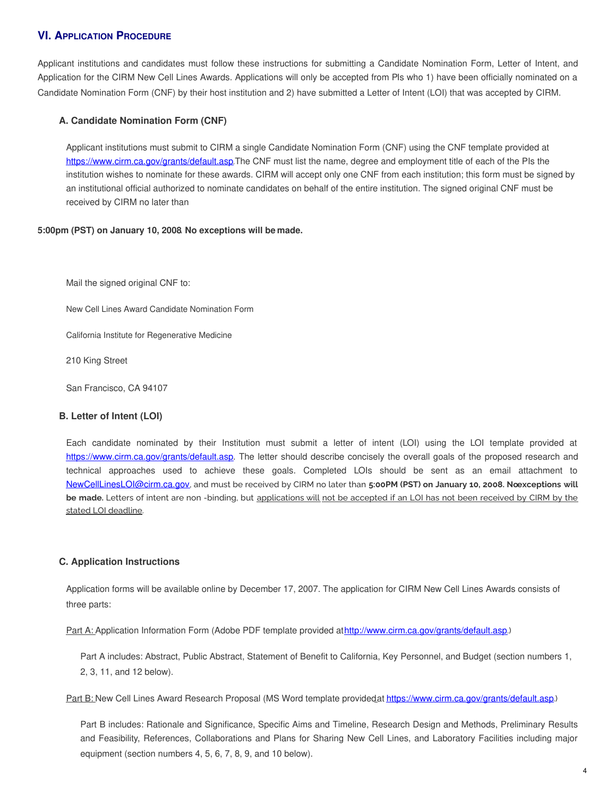# **VI. APPLICATION PROCEDURE**

Applicant institutions and candidates must follow these instructions for submitting a Candidate Nomination Form, Letter of Intent, and Application for the CIRM New Cell Lines Awards. Applications will only be accepted from PIs who 1) have been officially nominated on a Candidate Nomination Form (CNF) by their host institution and 2) have submitted a Letter of Intent (LOI) that was accepted by CIRM.

### **A. Candidate Nomination Form (CNF)**

Applicant institutions must submit to CIRM a single Candidate Nomination Form (CNF) using the CNF template provided at https://www.cirm.ca.gov/grants/default.asp.The CNF must list the name, degree and employment title of each of the PIs the institution wishes to nominate for these awards. CIRM will accept only one CNF from each institution; this form must be signed by an institutional official authorized to nominate candidates on behalf of the entire institution. The signed original CNF must be received by CIRM no later than

#### **5:00pm (PST) on January 10, 2008**. **No exceptions will be made.**

Mail the signed original CNF to:

New Cell Lines Award Candidate Nomination Form

California Institute for Regenerative Medicine

210 King Street

San Francisco, CA 94107

#### **B. Letter of Intent (LOI)**

Each candidate nominated by their Institution must submit a letter of intent (LOI) using the LOI template provided at https://www.cirm.ca.gov/grants/default.asp. The letter should describe concisely the overall goals of the proposed research and technical approaches used to achieve these goals. Completed LOIs should be sent as an email attachment to NewCellLinesLOI@cirm.ca.gov, and must be received by CIRM no later than **5:00PM (PST) on January 10, 2008. Noexceptions will be made.** Letters of intent are non -binding, but applications will not be accepted if an LOI has not been received by CIRM by the stated LOI deadline.

### **C. Application Instructions**

Application forms will be available online by December 17, 2007. The application for CIRM New Cell Lines Awards consists of three parts:

Part A: Application Information Form (Adobe PDF template provided athttp://www.cirm.ca.gov/grants/default.asp.)

Part A includes: Abstract, Public Abstract, Statement of Benefit to California, Key Personnel, and Budget (section numbers 1, 2, 3, 11, and 12 below).

Part B: New Cell Lines Award Research Proposal (MS Word template providedat https://www.cirm.ca.gov/grants/default.asp.)

Part B includes: Rationale and Significance, Specific Aims and Timeline, Research Design and Methods, Preliminary Results and Feasibility, References, Collaborations and Plans for Sharing New Cell Lines, and Laboratory Facilities including major equipment (section numbers 4, 5, 6, 7, 8, 9, and 10 below).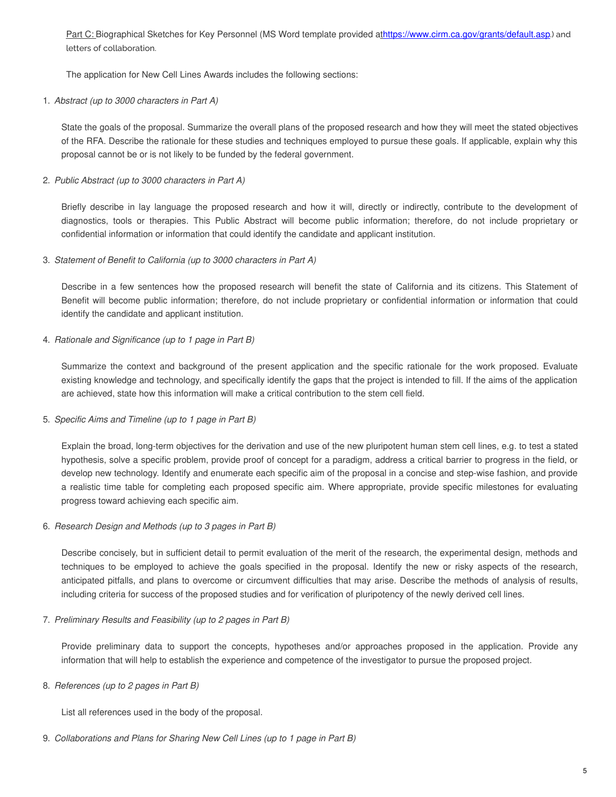Part C: Biographical Sketches for Key Personnel (MS Word template provided athttps://www.cirm.ca.gov/grants/default.asp.) and letters of collaboration.

The application for New Cell Lines Awards includes the following sections:

1. *Abstract (up to 3000 characters in Part A)*

State the goals of the proposal. Summarize the overall plans of the proposed research and how they will meet the stated objectives of the RFA. Describe the rationale for these studies and techniques employed to pursue these goals. If applicable, explain why this proposal cannot be or is not likely to be funded by the federal government.

# 2. *Public Abstract (up to 3000 characters in Part A)*

Briefly describe in lay language the proposed research and how it will, directly or indirectly, contribute to the development of diagnostics, tools or therapies. This Public Abstract will become public information; therefore, do not include proprietary or confidential information or information that could identify the candidate and applicant institution.

3. *Statement of Benefit to California (up to 3000 characters in Part A)*

Describe in a few sentences how the proposed research will benefit the state of California and its citizens. This Statement of Benefit will become public information; therefore, do not include proprietary or confidential information or information that could identify the candidate and applicant institution.

4. *Rationale and Significance (up to 1 page in Part B)*

Summarize the context and background of the present application and the specific rationale for the work proposed. Evaluate existing knowledge and technology, and specifically identify the gaps that the project is intended to fill. If the aims of the application are achieved, state how this information will make a critical contribution to the stem cell field.

5. *Specific Aims and Timeline (up to 1 page in Part B)*

Explain the broad, long-term objectives for the derivation and use of the new pluripotent human stem cell lines, e.g. to test a stated hypothesis, solve a specific problem, provide proof of concept for a paradigm, address a critical barrier to progress in the field, or develop new technology. Identify and enumerate each specific aim of the proposal in a concise and step-wise fashion, and provide a realistic time table for completing each proposed specific aim. Where appropriate, provide specific milestones for evaluating progress toward achieving each specific aim.

6. *Research Design and Methods (up to 3 pages in Part B)*

Describe concisely, but in sufficient detail to permit evaluation of the merit of the research, the experimental design, methods and techniques to be employed to achieve the goals specified in the proposal. Identify the new or risky aspects of the research, anticipated pitfalls, and plans to overcome or circumvent difficulties that may arise. Describe the methods of analysis of results, including criteria for success of the proposed studies and for verification of pluripotency of the newly derived cell lines.

7. *Preliminary Results and Feasibility (up to 2 pages in Part B)*

Provide preliminary data to support the concepts, hypotheses and/or approaches proposed in the application. Provide any information that will help to establish the experience and competence of the investigator to pursue the proposed project.

8. *References (up to 2 pages in Part B)*

List all references used in the body of the proposal.

9. *Collaborations and Plans for Sharing New Cell Lines (up to 1 page in Part B)*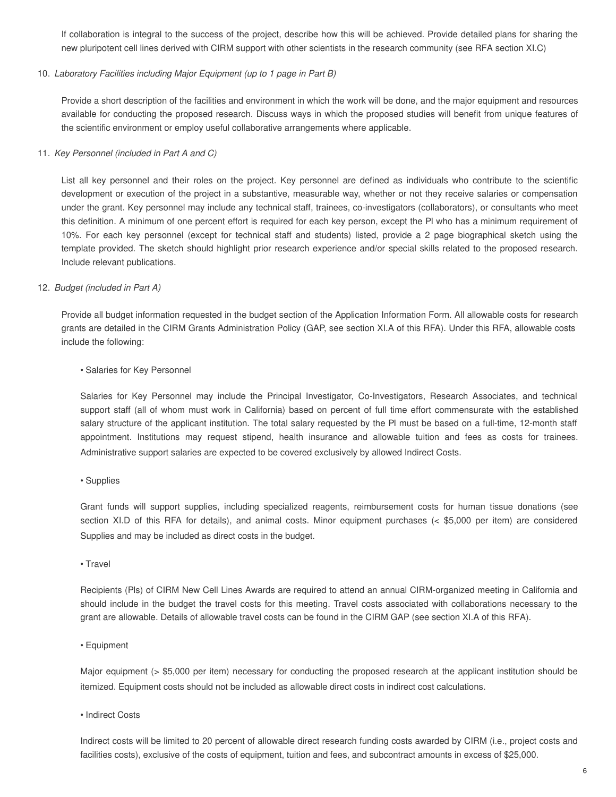If collaboration is integral to the success of the project, describe how this will be achieved. Provide detailed plans for sharing the new pluripotent cell lines derived with CIRM support with other scientists in the research community (see RFA section XI.C)

#### 10. *Laboratory Facilities including Major Equipment (up to 1 page in Part B)*

Provide a short description of the facilities and environment in which the work will be done, and the major equipment and resources available for conducting the proposed research. Discuss ways in which the proposed studies will benefit from unique features of the scientific environment or employ useful collaborative arrangements where applicable.

#### 11. *Key Personnel (included in Part A and C)*

List all key personnel and their roles on the project. Key personnel are defined as individuals who contribute to the scientific development or execution of the project in a substantive, measurable way, whether or not they receive salaries or compensation under the grant. Key personnel may include any technical staff, trainees, co-investigators (collaborators), or consultants who meet this definition. A minimum of one percent effort is required for each key person, except the PI who has a minimum requirement of 10%. For each key personnel (except for technical staff and students) listed, provide a 2 page biographical sketch using the template provided. The sketch should highlight prior research experience and/or special skills related to the proposed research. Include relevant publications.

#### 12. *Budget (included in Part A)*

Provide all budget information requested in the budget section of the Application Information Form. All allowable costs for research grants are detailed in the CIRM Grants Administration Policy (GAP, see section XI.A of this RFA). Under this RFA, allowable costs include the following:

#### • Salaries for Key Personnel

Salaries for Key Personnel may include the Principal Investigator, Co-Investigators, Research Associates, and technical support staff (all of whom must work in California) based on percent of full time effort commensurate with the established salary structure of the applicant institution. The total salary requested by the PI must be based on a full-time, 12-month staff appointment. Institutions may request stipend, health insurance and allowable tuition and fees as costs for trainees. Administrative support salaries are expected to be covered exclusively by allowed Indirect Costs.

#### • Supplies

Grant funds will support supplies, including specialized reagents, reimbursement costs for human tissue donations (see section XI.D of this RFA for details), and animal costs. Minor equipment purchases (< \$5,000 per item) are considered Supplies and may be included as direct costs in the budget.

• Travel

Recipients (PIs) of CIRM New Cell Lines Awards are required to attend an annual CIRM-organized meeting in California and should include in the budget the travel costs for this meeting. Travel costs associated with collaborations necessary to the grant are allowable. Details of allowable travel costs can be found in the CIRM GAP (see section XI.A of this RFA).

#### • Equipment

Major equipment (> \$5,000 per item) necessary for conducting the proposed research at the applicant institution should be itemized. Equipment costs should not be included as allowable direct costs in indirect cost calculations.

• Indirect Costs

Indirect costs will be limited to 20 percent of allowable direct research funding costs awarded by CIRM (i.e., project costs and facilities costs), exclusive of the costs of equipment, tuition and fees, and subcontract amounts in excess of \$25,000.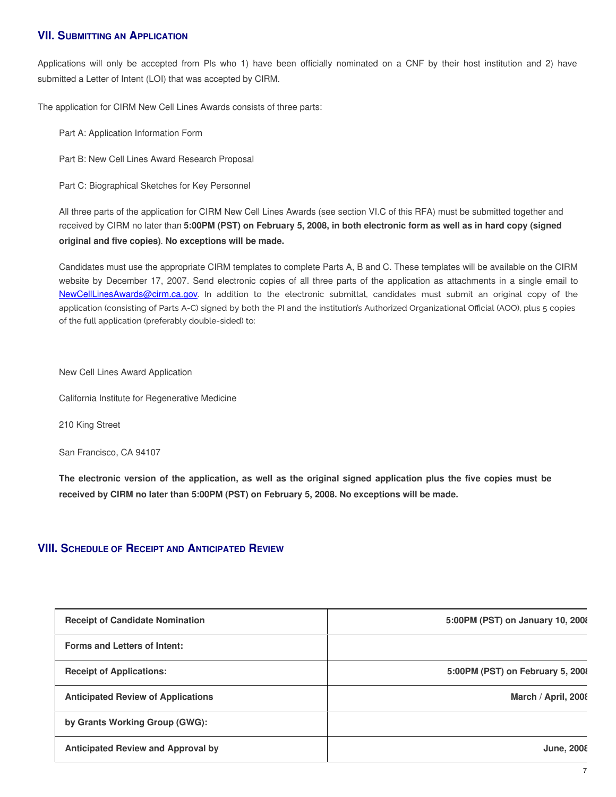# **VII. SUBMITTING AN APPLICATION**

Applications will only be accepted from PIs who 1) have been officially nominated on a CNF by their host institution and 2) have submitted a Letter of Intent (LOI) that was accepted by CIRM.

The application for CIRM New Cell Lines Awards consists of three parts:

Part A: Application Information Form

Part B: New Cell Lines Award Research Proposal

Part C: Biographical Sketches for Key Personnel

All three parts of the application for CIRM New Cell Lines Awards (see section VI.C of this RFA) must be submitted together and received by CIRM no later than 5:00PM (PST) on February 5, 2008, in both electronic form as well as in hard copy (signed **original and five copies)**. **No exceptions will be made.**

Candidates must use the appropriate CIRM templates to complete Parts A, B and C. These templates will be available on the CIRM website by December 17, 2007. Send electronic copies of all three parts of the application as attachments in a single email to NewCellLinesAwards@cirm.ca.gov. In addition to the electronic submittal, candidates must submit an original copy of the application (consisting of Parts A-C) signed by both the PI and the institution's Authorized Organizational Official (AOO), plus 5 copies of the full application (preferably double-sided) to:

New Cell Lines Award Application

California Institute for Regenerative Medicine

210 King Street

San Francisco, CA 94107

The electronic version of the application, as well as the original signed application plus the five copies must be **received by CIRM no later than 5:00PM (PST) on February 5, 2008. No exceptions will be made.**

# **VIII. SCHEDULE OF RECEIPT AND ANTICIPATED REVIEW**

| <b>Receipt of Candidate Nomination</b>    | 5:00PM (PST) on January 10, 2008 |
|-------------------------------------------|----------------------------------|
| <b>Forms and Letters of Intent:</b>       |                                  |
| <b>Receipt of Applications:</b>           | 5:00PM (PST) on February 5, 2008 |
| <b>Anticipated Review of Applications</b> | March / April, 2008              |
| by Grants Working Group (GWG):            |                                  |
| <b>Anticipated Review and Approval by</b> | <b>June, 2008</b>                |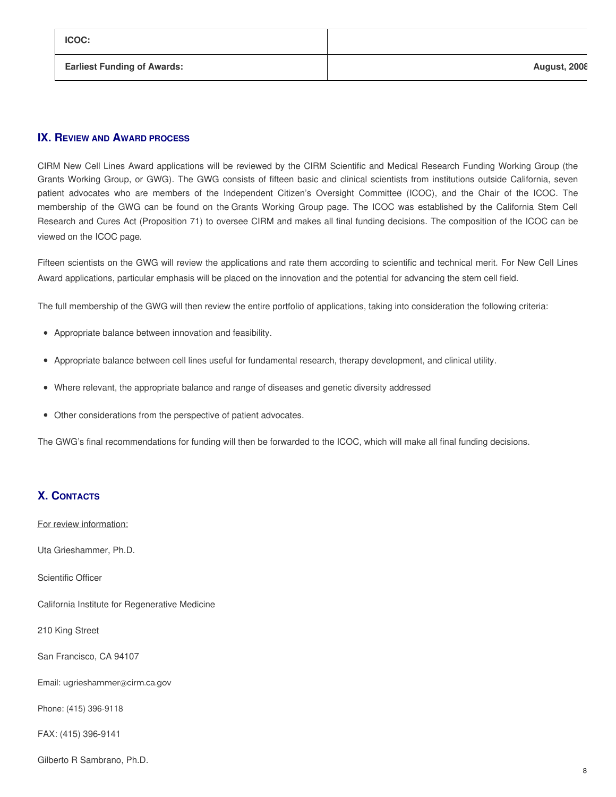| <b>ICOC:</b>                       |                     |
|------------------------------------|---------------------|
| <b>Earliest Funding of Awards:</b> | <b>August, 2008</b> |

# **IX. REVIEW AND AWARD PROCESS**

CIRM New Cell Lines Award applications will be reviewed by the CIRM Scientific and Medical Research Funding Working Group (the Grants Working Group, or GWG). The GWG consists of fifteen basic and clinical scientists from institutions outside California, seven patient advocates who are members of the Independent Citizen's Oversight Committee (ICOC), and the Chair of the ICOC. The membership of the GWG can be found on the Grants [Working](https://www.cirm.ca.gov/board-and-meetings/scientific-and-medical-research-funding-working-group) Group page. The ICOC was established by the California Stem Cell Research and Cures Act (Proposition 71) to oversee CIRM and makes all final funding decisions. The composition of the ICOC can be viewed on the [ICOC](https://www.cirm.ca.gov/board-and-meetings/board) page.

Fifteen scientists on the GWG will review the applications and rate them according to scientific and technical merit. For New Cell Lines Award applications, particular emphasis will be placed on the innovation and the potential for advancing the stem cell field.

The full membership of the GWG will then review the entire portfolio of applications, taking into consideration the following criteria:

- Appropriate balance between innovation and feasibility.
- Appropriate balance between cell lines useful for fundamental research, therapy development, and clinical utility.
- Where relevant, the appropriate balance and range of diseases and genetic diversity addressed
- Other considerations from the perspective of patient advocates.

The GWG's final recommendations for funding will then be forwarded to the ICOC, which will make all final funding decisions.

# **X. CONTACTS**

For review information:

Uta Grieshammer, Ph.D.

Scientific Officer

California Institute for Regenerative Medicine

210 King Street

San Francisco, CA 94107

Email: [ugrieshammer@cirm.ca.gov](mailto:ugrieshammer@cirm.ca.gov)

Phone: (415) 396-9118

FAX: (415) 396-9141

Gilberto R Sambrano, Ph.D.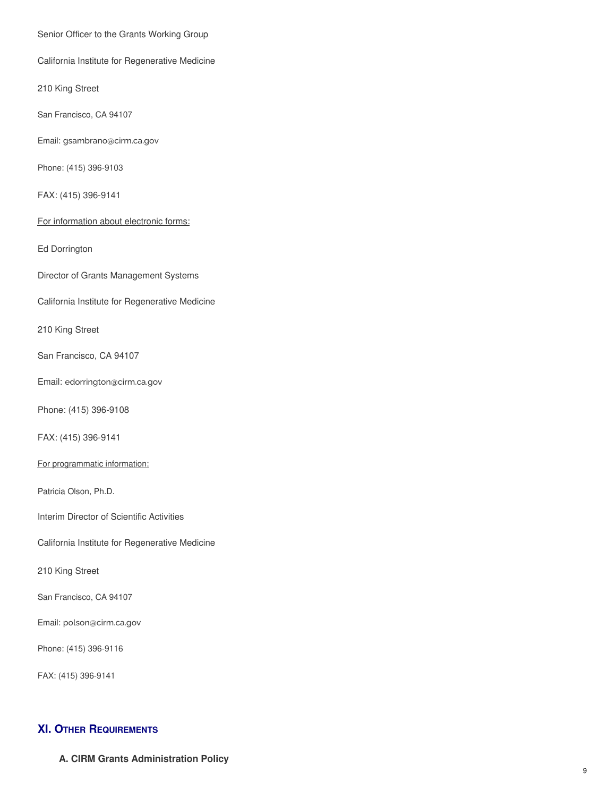Senior Officer to the Grants Working Group

California Institute for Regenerative Medicine

210 King Street

San Francisco, CA 94107

Email: [gsambrano@cirm.ca.gov](mailto:gsambrano@cirm.ca.gov)

Phone: (415) 396-9103

FAX: (415) 396-9141

For information about electronic forms:

Ed Dorrington

Director of Grants Management Systems

California Institute for Regenerative Medicine

210 King Street

San Francisco, CA 94107

Email: [edorrington@cirm.ca.gov](mailto:edorrington@cirm.ca.gov)

Phone: (415) 396-9108

FAX: (415) 396-9141

For programmatic information:

Patricia Olson, Ph.D.

Interim Director of Scientific Activities

California Institute for Regenerative Medicine

210 King Street

San Francisco, CA 94107

Email: [polson@cirm.ca.gov](mailto:polson@cirm.ca.gov)

Phone: (415) 396-9116

FAX: (415) 396-9141

# **XI. OTHER REQUIREMENTS**

**A. CIRM Grants Administration Policy**